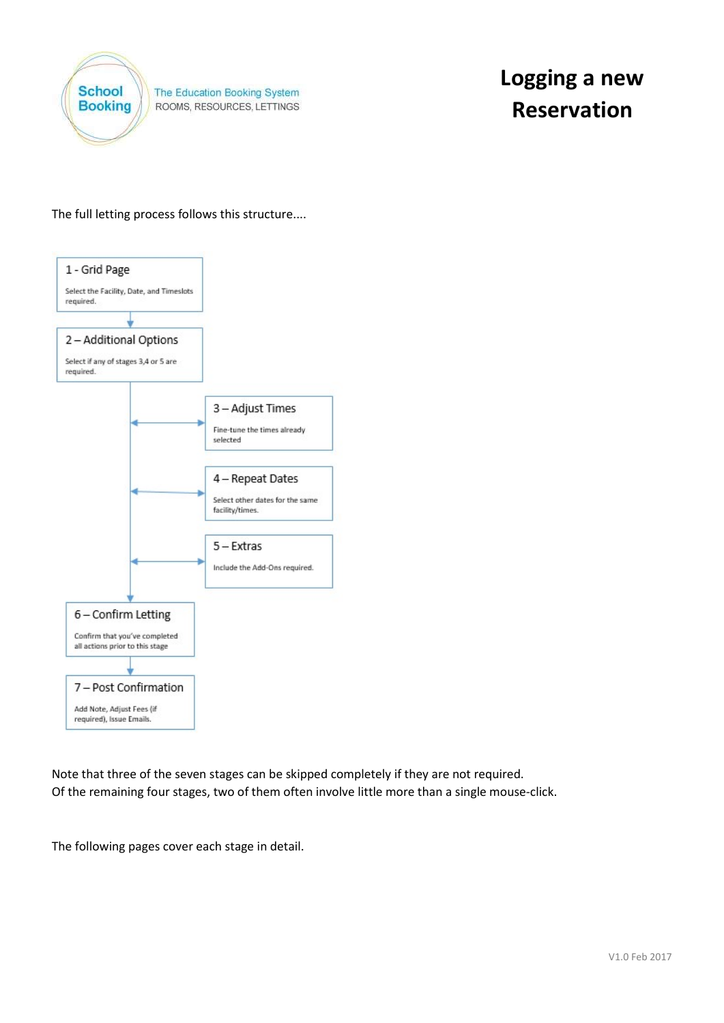

The Education Booking System ROOMS, RESOURCES, LETTINGS

The full letting process follows this structure....



Note that three of the seven stages can be skipped completely if they are not required. Of the remaining four stages, two of them often involve little more than a single mouse-click.

The following pages cover each stage in detail.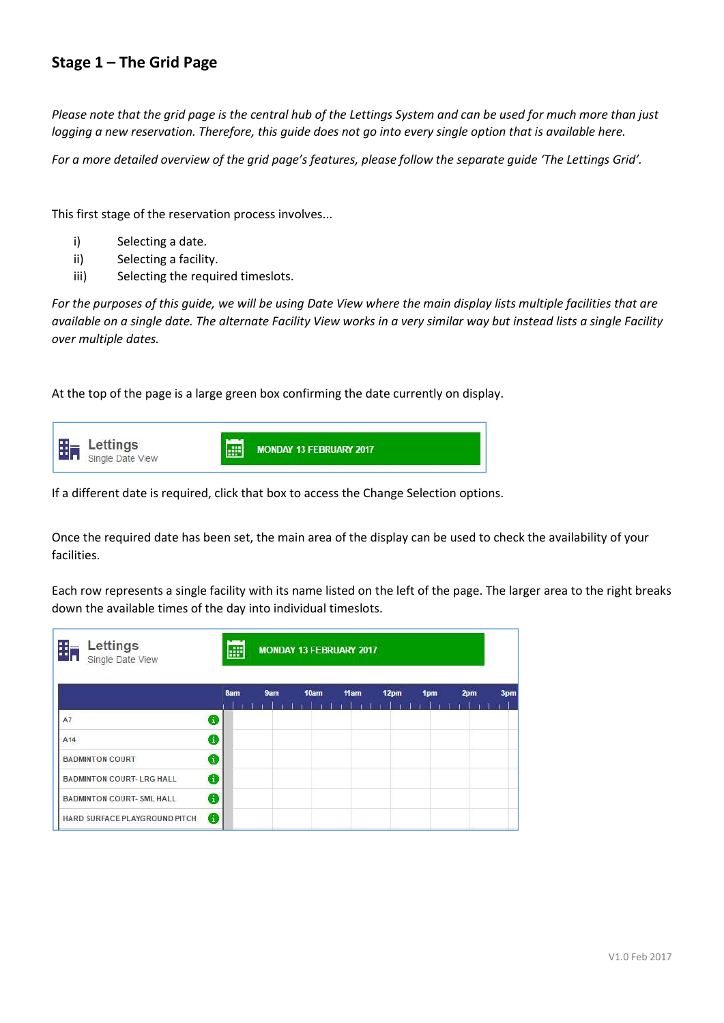### Stage 1 – The Grid Page

Please note that the grid page is the central hub of the Lettings System and can be used for much more than just logging a new reservation. Therefore, this guide does not go into every single option that is available here.

For a more detailed overview of the grid page's features, please follow the separate guide 'The Lettings Grid'.

This first stage of the reservation process involves...

- i) Selecting a date.
- ii) Selecting a facility.
- iii) Selecting the required timeslots.

For the purposes of this guide, we will be using Date View where the main display lists multiple facilities that are available on a single date. The alternate Facility View works in a very similar way but instead lists a single Facility over multiple dates.

At the top of the page is a large green box confirming the date currently on display.



If a different date is required, click that box to access the Change Selection options.

Once the required date has been set, the main area of the display can be used to check the availability of your facilities.

Each row represents a single facility with its name listed on the left of the page. The larger area to the right breaks down the available times of the day into individual timeslots.

| Ĩπ<br>Lettings<br>Single Date View |   | æ<br><b>MONDAY 13 FEBRUARY 2017</b> |     |      |      |      |     |     |     |  |  |
|------------------------------------|---|-------------------------------------|-----|------|------|------|-----|-----|-----|--|--|
|                                    |   | 8am                                 | 9am | 10am | 11am | 12pm | 1pm | 2pm | 3pm |  |  |
| A7                                 | 8 |                                     |     |      |      |      |     |     |     |  |  |
| A <sub>14</sub>                    | 0 |                                     |     |      |      |      |     |     |     |  |  |
| <b>BADMINTON COURT</b>             | 0 |                                     |     |      |      |      |     |     |     |  |  |
| <b>BADMINTON COURT- LRG HALL</b>   | ❸ |                                     |     |      |      |      |     |     |     |  |  |
| <b>BADMINTON COURT- SML HALL</b>   | ❸ |                                     |     |      |      |      |     |     |     |  |  |
| HARD SURFACE PLAYGROUND PITCH      | ⊕ |                                     |     |      |      |      |     |     |     |  |  |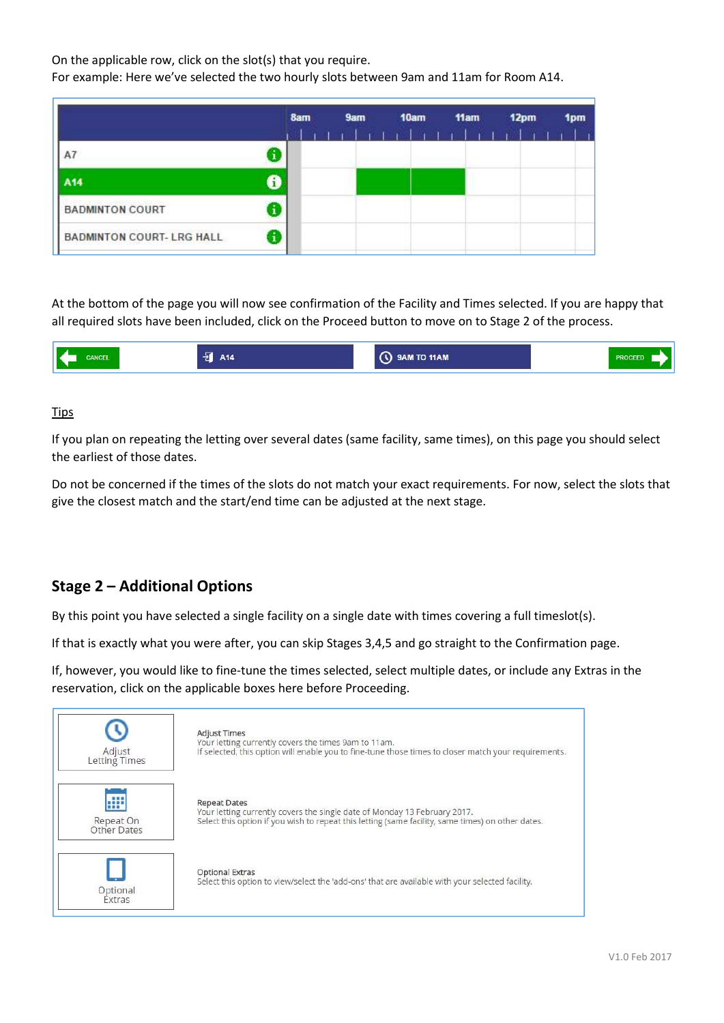On the applicable row, click on the slot(s) that you require.

For example: Here we've selected the two hourly slots between 9am and 11am for Room A14.

|                                  | 8am | 9am | 10am                 | 11am |                | 12pm |  |  |
|----------------------------------|-----|-----|----------------------|------|----------------|------|--|--|
|                                  |     |     | <b>The Following</b> |      | <b>William</b> |      |  |  |
| A7                               |     |     |                      |      |                |      |  |  |
| A <sub>14</sub>                  |     |     |                      |      |                |      |  |  |
| <b>BADMINTON COURT</b>           |     |     |                      |      |                |      |  |  |
| <b>BADMINTON COURT- LRG HALL</b> |     |     |                      |      |                |      |  |  |

At the bottom of the page you will now see confirmation of the Facility and Times selected. If you are happy that all required slots have been included, click on the Proceed button to move on to Stage 2 of the process.

|  | - 1<br>-  15 | 9AM TO 11AM<br>. . |  |
|--|--------------|--------------------|--|
|--|--------------|--------------------|--|

### Tips

If you plan on repeating the letting over several dates (same facility, same times), on this page you should select the earliest of those dates.

Do not be concerned if the times of the slots do not match your exact requirements. For now, select the slots that give the closest match and the start/end time can be adjusted at the next stage.

## Stage 2 – Additional Options

By this point you have selected a single facility on a single date with times covering a full timeslot(s).

If that is exactly what you were after, you can skip Stages 3,4,5 and go straight to the Confirmation page.

If, however, you would like to fine-tune the times selected, select multiple dates, or include any Extras in the reservation, click on the applicable boxes here before Proceeding.

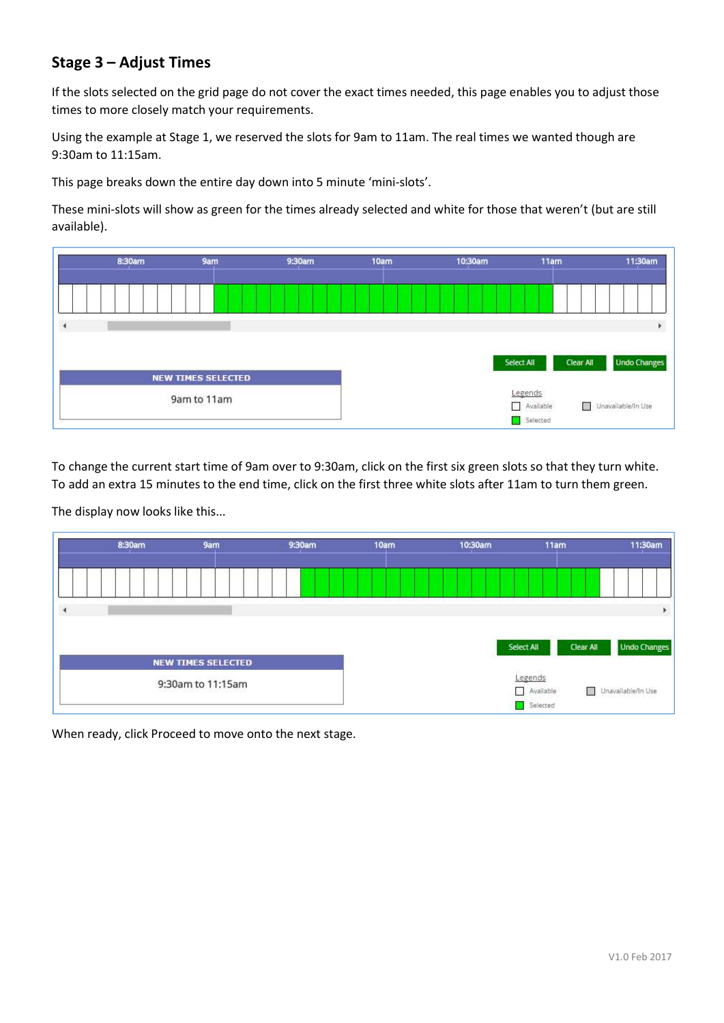# Stage 3 – Adjust Times

If the slots selected on the grid page do not cover the exact times needed, this page enables you to adjust those times to more closely match your requirements.

Using the example at Stage 1, we reserved the slots for 9am to 11am. The real times we wanted though are 9:30am to 11:15am.

This page breaks down the entire day down into 5 minute 'mini-slots'.

These mini-slots will show as green for the times already selected and white for those that weren't (but are still available).



To change the current start time of 9am over to 9:30am, click on the first six green slots so that they turn white. To add an extra 15 minutes to the end time, click on the first three white slots after 11am to turn them green.

The display now looks like this...



When ready, click Proceed to move onto the next stage.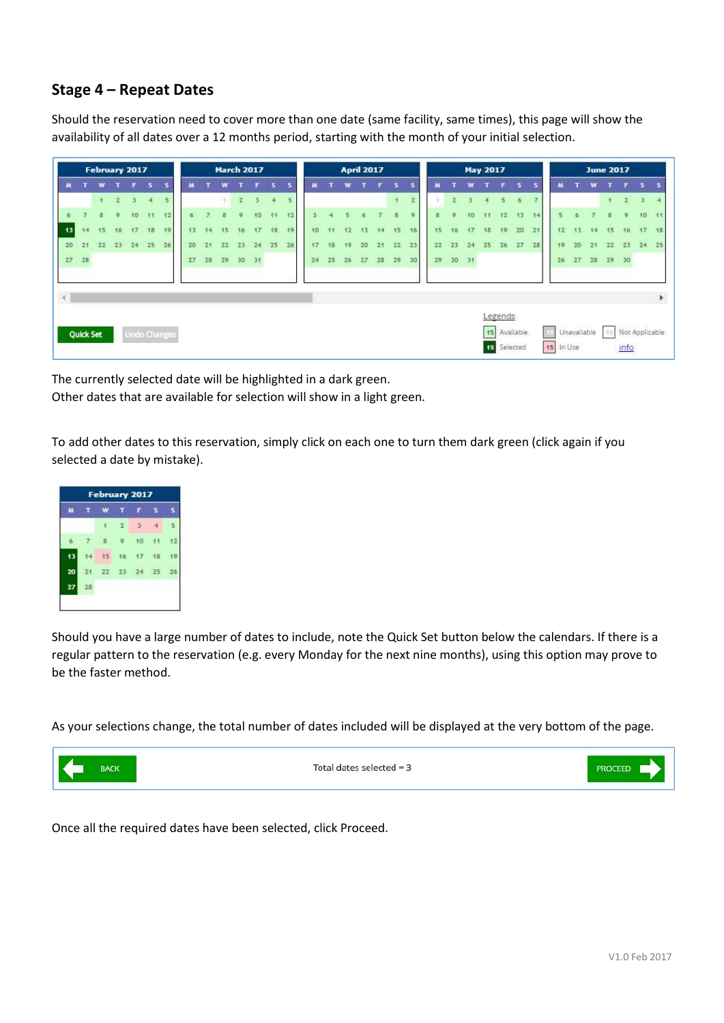### Stage 4 – Repeat Dates

Should the reservation need to cover more than one date (same facility, same times), this page will show the availability of all dates over a 12 months period, starting with the month of your initial selection.

|               |                  | February 2017 |        |              |           |                     |    |    |    |              | <b>March 2017</b> |                |    |    |    |    | <b>April 2017</b> |    |                |                |    |    |       | <b>May 2017</b> |         |                          |    |           |                 | <b>June 2017</b> |              |                        |                  |    |
|---------------|------------------|---------------|--------|--------------|-----------|---------------------|----|----|----|--------------|-------------------|----------------|----|----|----|----|-------------------|----|----------------|----------------|----|----|-------|-----------------|---------|--------------------------|----|-----------|-----------------|------------------|--------------|------------------------|------------------|----|
|               |                  |               |        | F.           | <b>B.</b> | $\mathbf{S}$        |    |    | w  |              | F.                | 5              | 5  |    |    | w  |                   | r  | 5.             | s              |    |    | w     |                 | F.      | $\sim$                   | -5 |           |                 | w                |              |                        | $F = 5$          |    |
|               |                  | $+$           | 2      | $\mathbf{3}$ | 4         | 5                   |    |    |    | $\mathbb{Z}$ | 3.                | $\overline{4}$ | 5  |    |    |    |                   |    | $\Lambda$      | $\overline{2}$ |    | z  |       | 4               | 5       | 6                        |    |           |                 |                  | 31           | $2^{7}$ 3              |                  |    |
| ×.            | $\overline{z}$   | R             | ۰      | 10           | 11        | 12                  |    |    |    |              | 10                | $-44$          | 12 |    |    |    |                   |    | $\overline{B}$ | 9              |    | ö. | 10    |                 | 12      | 13                       | 14 | Б         | 6               | ۳                | $\mathbf{R}$ | $\circ$                | 10 <sub>10</sub> | 11 |
| 13            | 14               | 15            | 16     | 17           | 18        | 19                  | 13 | 14 | 15 | 16           | 47                | 18             | 19 |    |    |    | 13                | 14 | 15             | 16             | 45 | 16 | 17    | 18              | 19      | 20                       | 21 | 12        | 13 <sub>1</sub> | 44               | 15           | 16                     | 17               | 18 |
| 20            | 21               | 22            | $23 -$ | 24           | 25        | 26                  | 20 |    | 22 | 23           | 24                | 25             | 26 |    |    | 19 | 20                | 21 | 22             | 23             | 22 | 23 | 24    | 25              | 26      | 27                       | 28 | 19        | 20              | 21               | 22           | 23                     | 24               | 25 |
|               | 27 28            |               |        |              |           |                     | 27 | 28 |    |              | 29 30 31          |                |    | 24 | 25 | 26 | 27                | 28 | 29             | 30             | 29 |    | 30 31 |                 |         |                          |    | 26.       |                 |                  |              |                        |                  |    |
| $\mathcal{A}$ |                  |               |        |              |           |                     |    |    |    |              |                   |                |    |    |    |    |                   |    |                |                |    |    |       |                 |         |                          |    |           |                 |                  |              |                        |                  | ¥. |
|               | <b>Quick Set</b> |               |        |              |           | <b>Undo Changes</b> |    |    |    |              |                   |                |    |    |    |    |                   |    |                |                |    |    |       | 15              | Legends | Available<br>15 Selected |    | 15 In Use | Unavailable     |                  | i's          | Not Applicable<br>info |                  |    |

The currently selected date will be highlighted in a dark green.

Other dates that are available for selection will show in a light green.

To add other dates to this reservation, simply click on each one to turn them dark green (click again if you selected a date by mistake).



Should you have a large number of dates to include, note the Quick Set button below the calendars. If there is a regular pattern to the reservation (e.g. every Monday for the next nine months), using this option may prove to be the faster method.

As your selections change, the total number of dates included will be displayed at the very bottom of the page.



Total dates selected =  $3$ 



Once all the required dates have been selected, click Proceed.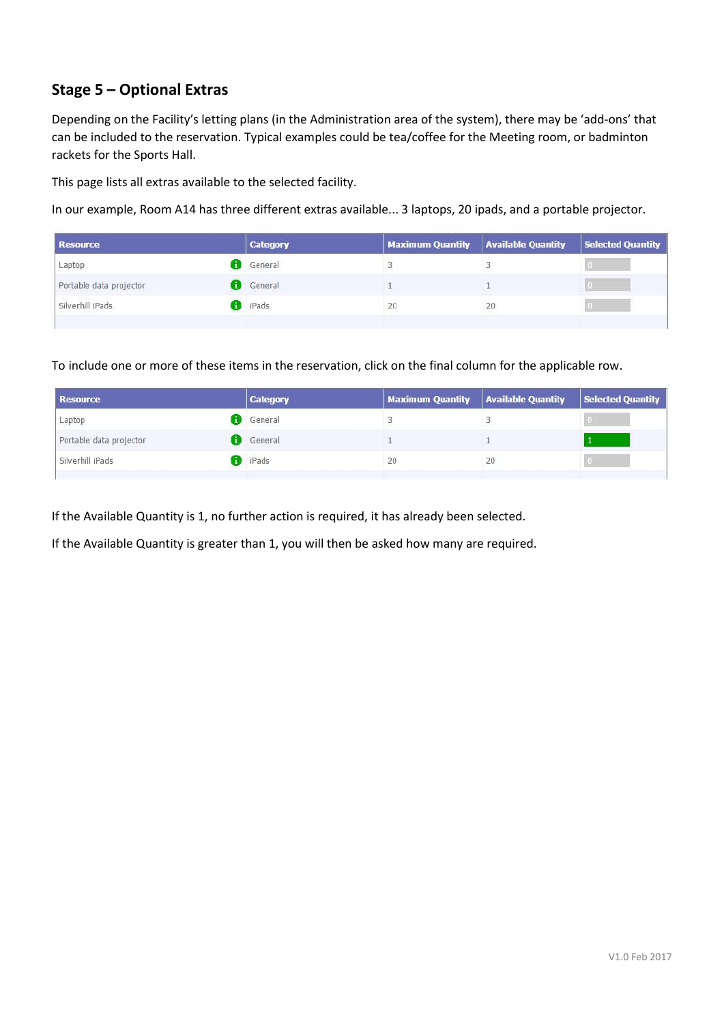# Stage 5 – Optional Extras

Depending on the Facility's letting plans (in the Administration area of the system), there may be 'add-ons' that can be included to the reservation. Typical examples could be tea/coffee for the Meeting room, or badminton rackets for the Sports Hall.

This page lists all extras available to the selected facility.

In our example, Room A14 has three different extras available... 3 laptops, 20 ipads, and a portable projector.

| <b>Resource</b>         | <b>Category</b> | <b>Maximum Quantity</b> | <b>Available Quantity</b> | Selected Quantity |
|-------------------------|-----------------|-------------------------|---------------------------|-------------------|
| Laptop                  | General         |                         |                           |                   |
| Portable data projector | General         |                         |                           |                   |
| Silverhill iPads        | <b>IPads</b>    | 20                      | 20                        |                   |
|                         |                 |                         |                           |                   |

To include one or more of these items in the reservation, click on the final column for the applicable row.

| <b>Resource</b>         | Category       | Maximum Quantity   Available Quantity |    | Selected Quantity |
|-------------------------|----------------|---------------------------------------|----|-------------------|
| Laptop                  | General        |                                       |    |                   |
| Portable data projector | General        |                                       |    |                   |
| Silverhill iPads        | <b>B</b> iPads | 20                                    | 20 |                   |

If the Available Quantity is 1, no further action is required, it has already been selected.

If the Available Quantity is greater than 1, you will then be asked how many are required.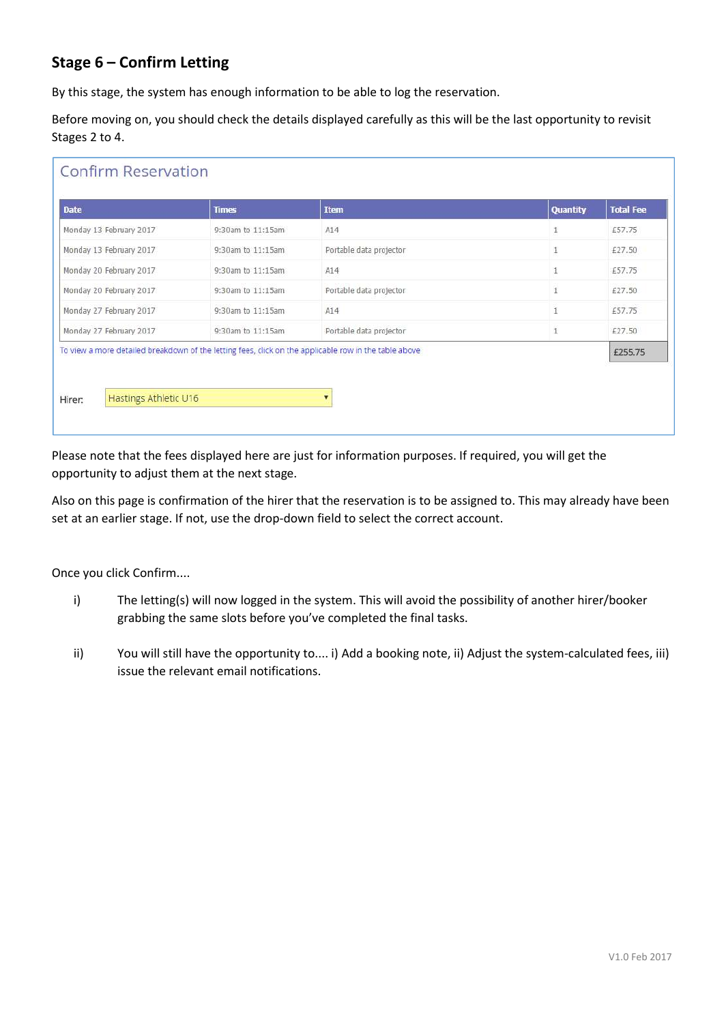# Stage 6 – Confirm Letting

By this stage, the system has enough information to be able to log the reservation.

Before moving on, you should check the details displayed carefully as this will be the last opportunity to revisit Stages 2 to 4.

| <b>Date</b>             | <b>Times</b>                                                                                          | <b>Item</b>             | Quantity       | <b>Total Fee</b> |
|-------------------------|-------------------------------------------------------------------------------------------------------|-------------------------|----------------|------------------|
| Monday 13 February 2017 | 9:30am to 11:15am                                                                                     | A14                     | $\overline{1}$ | £57.75           |
| Monday 13 February 2017 | 9:30am to 11:15am                                                                                     | Portable data projector | $\mathbbm{1}$  | £27.50           |
| Monday 20 February 2017 | 9:30am to 11:15am                                                                                     | A14                     | 1              | £57.75           |
| Monday 20 February 2017 | 9:30am to 11:15am                                                                                     | Portable data projector | $\mathbf{1}$   | £27.50           |
| Monday 27 February 2017 | 9:30am to 11:15am                                                                                     | A14                     |                | £57.75           |
| Monday 27 February 2017 | 9:30am to 11:15am                                                                                     | Portable data projector | 1              | £27.50           |
|                         | To view a more detailed breakdown of the letting fees, click on the applicable row in the table above |                         |                | £255.75          |

Please note that the fees displayed here are just for information purposes. If required, you will get the opportunity to adjust them at the next stage.

Also on this page is confirmation of the hirer that the reservation is to be assigned to. This may already have been set at an earlier stage. If not, use the drop-down field to select the correct account.

Once you click Confirm....

- i) The letting(s) will now logged in the system. This will avoid the possibility of another hirer/booker grabbing the same slots before you've completed the final tasks.
- ii) You will still have the opportunity to.... i) Add a booking note, ii) Adjust the system-calculated fees, iii) issue the relevant email notifications.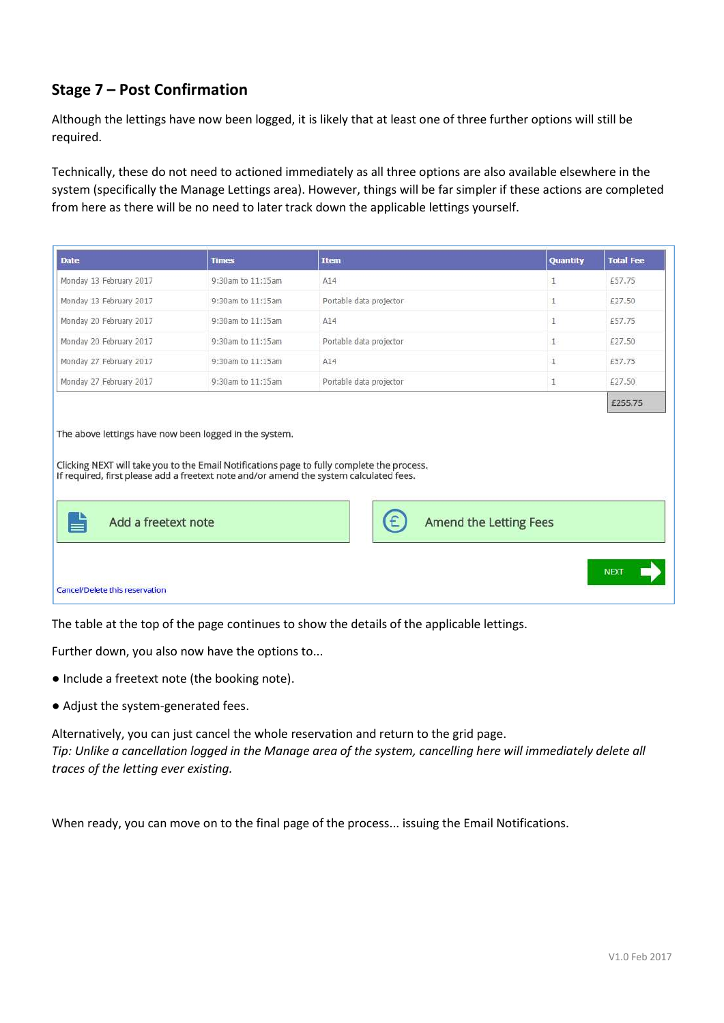# Stage 7 – Post Confirmation

Although the lettings have now been logged, it is likely that at least one of three further options will still be required.

Technically, these do not need to actioned immediately as all three options are also available elsewhere in the system (specifically the Manage Lettings area). However, things will be far simpler if these actions are completed from here as there will be no need to later track down the applicable lettings yourself.

| <b>Date</b>                                                                       | <b>Times</b>                                                                           | <b>Item</b>                                                                                | Quantity     | <b>Total Fee</b>  |
|-----------------------------------------------------------------------------------|----------------------------------------------------------------------------------------|--------------------------------------------------------------------------------------------|--------------|-------------------|
| Monday 13 February 2017                                                           | 9:30am to 11:15am                                                                      | A14                                                                                        | 1            | £57.75            |
| Monday 13 February 2017                                                           | 9:30am to 11:15am                                                                      | Portable data projector                                                                    | 1            | £27.50            |
| Monday 20 February 2017                                                           | 9:30am to 11:15am                                                                      | A14                                                                                        | $\mathbf{1}$ | £57.75            |
| Monday 20 February 2017                                                           | 9:30am to 11:15am                                                                      | Portable data projector                                                                    | $\mathbf{1}$ | £27.50            |
| Monday 27 February 2017                                                           | 9:30am to 11:15am                                                                      | A14                                                                                        | $\mathbf{1}$ | £57.75            |
|                                                                                   |                                                                                        |                                                                                            |              |                   |
| Monday 27 February 2017<br>The above lettings have now been logged in the system. | 9:30am to 11:15am                                                                      | Portable data projector                                                                    | $\mathbf{1}$ | £27.50<br>£255.75 |
|                                                                                   | If required, first please add a freetext note and/or amend the system calculated fees. | Clicking NEXT will take you to the Email Notifications page to fully complete the process. |              |                   |

The table at the top of the page continues to show the details of the applicable lettings.

Further down, you also now have the options to...

- Include a freetext note (the booking note).
- Adjust the system-generated fees.

Alternatively, you can just cancel the whole reservation and return to the grid page. Tip: Unlike a cancellation logged in the Manage area of the system, cancelling here will immediately delete all traces of the letting ever existing.

When ready, you can move on to the final page of the process... issuing the Email Notifications.